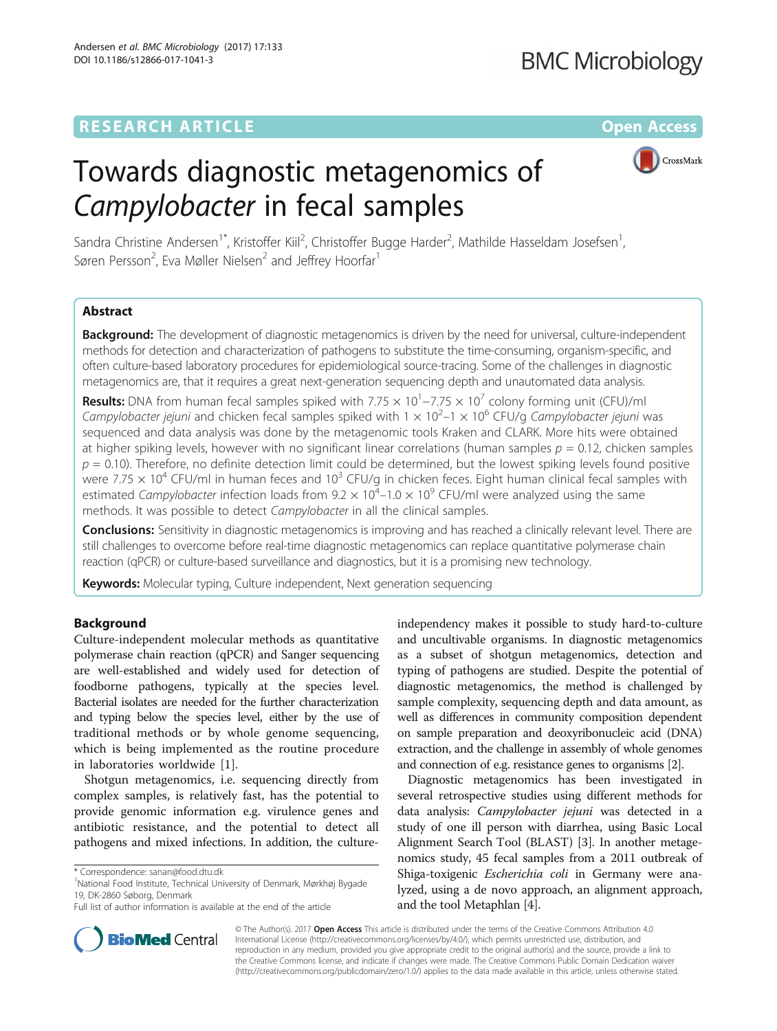# **RESEARCH ARTICLE External Structure Community Community Community Community Community Community Community Community**

# Towards diagnostic metagenomics of Campylobacter in fecal samples



Sandra Christine Andersen<sup>1\*</sup>, Kristoffer Kiil<sup>2</sup>, Christoffer Bugge Harder<sup>2</sup>, Mathilde Hasseldam Josefsen<sup>1</sup> , Søren Persson<sup>2</sup>, Eva Møller Nielsen<sup>2</sup> and Jeffrey Hoorfar<sup>1</sup>

# Abstract

Background: The development of diagnostic metagenomics is driven by the need for universal, culture-independent methods for detection and characterization of pathogens to substitute the time-consuming, organism-specific, and often culture-based laboratory procedures for epidemiological source-tracing. Some of the challenges in diagnostic metagenomics are, that it requires a great next-generation sequencing depth and unautomated data analysis.

**Results:** DNA from human fecal samples spiked with 7.75  $\times$  10<sup>1</sup> –7.75  $\times$  10<sup>7</sup> colony forming unit (CFU)/ml Campylobacter jejuni and chicken fecal samples spiked with  $1 \times 10^2$ –1  $\times$  10<sup>6</sup> CFU/g Campylobacter jejuni was sequenced and data analysis was done by the metagenomic tools Kraken and CLARK. More hits were obtained at higher spiking levels, however with no significant linear correlations (human samples  $p = 0.12$ , chicken samples  $p = 0.10$ ). Therefore, no definite detection limit could be determined, but the lowest spiking levels found positive were 7.75  $\times$  10<sup>4</sup> CFU/ml in human feces and 10<sup>3</sup> CFU/g in chicken feces. Eight human clinical fecal samples with estimated Campylobacter infection loads from 9.2  $\times$  10<sup>4</sup> – 1.0  $\times$  10<sup>9</sup> CFU/ml were analyzed using the same methods. It was possible to detect Campylobacter in all the clinical samples.

**Conclusions:** Sensitivity in diagnostic metagenomics is improving and has reached a clinically relevant level. There are still challenges to overcome before real-time diagnostic metagenomics can replace quantitative polymerase chain reaction (qPCR) or culture-based surveillance and diagnostics, but it is a promising new technology.

**Keywords:** Molecular typing, Culture independent, Next generation sequencing

# Background

Culture-independent molecular methods as quantitative polymerase chain reaction (qPCR) and Sanger sequencing are well-established and widely used for detection of foodborne pathogens, typically at the species level. Bacterial isolates are needed for the further characterization and typing below the species level, either by the use of traditional methods or by whole genome sequencing, which is being implemented as the routine procedure in laboratories worldwide [\[1](#page-7-0)].

Shotgun metagenomics, i.e. sequencing directly from complex samples, is relatively fast, has the potential to provide genomic information e.g. virulence genes and antibiotic resistance, and the potential to detect all pathogens and mixed infections. In addition, the culture-

National Food Institute, Technical University of Denmark, Mørkhøj Bygade 19, DK-2860 Søborg, Denmark

independency makes it possible to study hard-to-culture and uncultivable organisms. In diagnostic metagenomics as a subset of shotgun metagenomics, detection and typing of pathogens are studied. Despite the potential of diagnostic metagenomics, the method is challenged by sample complexity, sequencing depth and data amount, as well as differences in community composition dependent on sample preparation and deoxyribonucleic acid (DNA) extraction, and the challenge in assembly of whole genomes and connection of e.g. resistance genes to organisms [[2\]](#page-7-0).

Diagnostic metagenomics has been investigated in several retrospective studies using different methods for data analysis: Campylobacter jejuni was detected in a study of one ill person with diarrhea, using Basic Local Alignment Search Tool (BLAST) [\[3\]](#page-7-0). In another metagenomics study, 45 fecal samples from a 2011 outbreak of Shiga-toxigenic Escherichia coli in Germany were analyzed, using a de novo approach, an alignment approach, and the tool Metaphlan [[4](#page-7-0)].



© The Author(s). 2017 Open Access This article is distributed under the terms of the Creative Commons Attribution 4.0 International License [\(http://creativecommons.org/licenses/by/4.0/](http://creativecommons.org/licenses/by/4.0/)), which permits unrestricted use, distribution, and reproduction in any medium, provided you give appropriate credit to the original author(s) and the source, provide a link to the Creative Commons license, and indicate if changes were made. The Creative Commons Public Domain Dedication waiver [\(http://creativecommons.org/publicdomain/zero/1.0/](http://creativecommons.org/publicdomain/zero/1.0/)) applies to the data made available in this article, unless otherwise stated.

<sup>\*</sup> Correspondence: [sanan@food.dtu.dk](mailto:sanan@food.dtu.dk) <sup>1</sup>

Full list of author information is available at the end of the article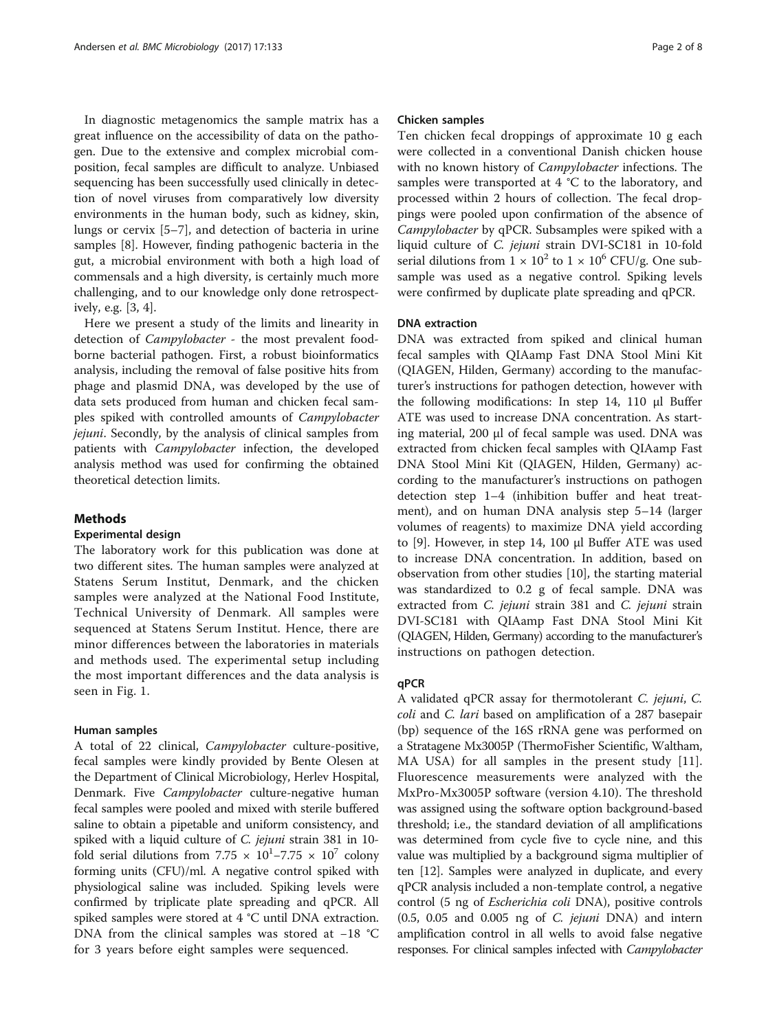In diagnostic metagenomics the sample matrix has a great influence on the accessibility of data on the pathogen. Due to the extensive and complex microbial composition, fecal samples are difficult to analyze. Unbiased sequencing has been successfully used clinically in detection of novel viruses from comparatively low diversity environments in the human body, such as kidney, skin, lungs or cervix [[5](#page-7-0)–[7](#page-7-0)], and detection of bacteria in urine samples [[8](#page-7-0)]. However, finding pathogenic bacteria in the gut, a microbial environment with both a high load of commensals and a high diversity, is certainly much more challenging, and to our knowledge only done retrospectively, e.g. [[3, 4\]](#page-7-0).

Here we present a study of the limits and linearity in detection of Campylobacter - the most prevalent foodborne bacterial pathogen. First, a robust bioinformatics analysis, including the removal of false positive hits from phage and plasmid DNA, was developed by the use of data sets produced from human and chicken fecal samples spiked with controlled amounts of Campylobacter jejuni. Secondly, by the analysis of clinical samples from patients with Campylobacter infection, the developed analysis method was used for confirming the obtained theoretical detection limits.

# Methods

# Experimental design

The laboratory work for this publication was done at two different sites. The human samples were analyzed at Statens Serum Institut, Denmark, and the chicken samples were analyzed at the National Food Institute, Technical University of Denmark. All samples were sequenced at Statens Serum Institut. Hence, there are minor differences between the laboratories in materials and methods used. The experimental setup including the most important differences and the data analysis is seen in Fig. [1.](#page-2-0)

### Human samples

A total of 22 clinical, Campylobacter culture-positive, fecal samples were kindly provided by Bente Olesen at the Department of Clinical Microbiology, Herlev Hospital, Denmark. Five *Campylobacter* culture-negative human fecal samples were pooled and mixed with sterile buffered saline to obtain a pipetable and uniform consistency, and spiked with a liquid culture of C. jejuni strain 381 in 10 fold serial dilutions from 7.75  $\times$  10<sup>1</sup>-7.75  $\times$  10<sup>7</sup> colony forming units (CFU)/ml. A negative control spiked with physiological saline was included. Spiking levels were confirmed by triplicate plate spreading and qPCR. All spiked samples were stored at 4 °C until DNA extraction. DNA from the clinical samples was stored at −18 °C for 3 years before eight samples were sequenced.

# Chicken samples

Ten chicken fecal droppings of approximate 10 g each were collected in a conventional Danish chicken house with no known history of *Campylobacter* infections. The samples were transported at 4 °C to the laboratory, and processed within 2 hours of collection. The fecal droppings were pooled upon confirmation of the absence of Campylobacter by qPCR. Subsamples were spiked with a liquid culture of C. jejuni strain DVI-SC181 in 10-fold serial dilutions from  $1 \times 10^2$  to  $1 \times 10^6$  CFU/g. One subsample was used as a negative control. Spiking levels were confirmed by duplicate plate spreading and qPCR.

# DNA extraction

DNA was extracted from spiked and clinical human fecal samples with QIAamp Fast DNA Stool Mini Kit (QIAGEN, Hilden, Germany) according to the manufacturer's instructions for pathogen detection, however with the following modifications: In step 14, 110 μl Buffer ATE was used to increase DNA concentration. As starting material, 200 μl of fecal sample was used. DNA was extracted from chicken fecal samples with QIAamp Fast DNA Stool Mini Kit (QIAGEN, Hilden, Germany) according to the manufacturer's instructions on pathogen detection step 1–4 (inhibition buffer and heat treatment), and on human DNA analysis step 5–14 (larger volumes of reagents) to maximize DNA yield according to [[9\]](#page-7-0). However, in step 14, 100 μl Buffer ATE was used to increase DNA concentration. In addition, based on observation from other studies [\[10](#page-7-0)], the starting material was standardized to 0.2 g of fecal sample. DNA was extracted from C. jejuni strain 381 and C. jejuni strain DVI-SC181 with QIAamp Fast DNA Stool Mini Kit (QIAGEN, Hilden, Germany) according to the manufacturer's instructions on pathogen detection.

# qPCR

A validated qPCR assay for thermotolerant C. jejuni, C. coli and C. lari based on amplification of a 287 basepair (bp) sequence of the 16S rRNA gene was performed on a Stratagene Mx3005P (ThermoFisher Scientific, Waltham, MA USA) for all samples in the present study [\[11](#page-7-0)]. Fluorescence measurements were analyzed with the MxPro-Mx3005P software (version 4.10). The threshold was assigned using the software option background-based threshold; i.e., the standard deviation of all amplifications was determined from cycle five to cycle nine, and this value was multiplied by a background sigma multiplier of ten [[12\]](#page-7-0). Samples were analyzed in duplicate, and every qPCR analysis included a non-template control, a negative control (5 ng of Escherichia coli DNA), positive controls  $(0.5, 0.05$  and  $0.005$  ng of C. jejuni DNA) and intern amplification control in all wells to avoid false negative responses. For clinical samples infected with Campylobacter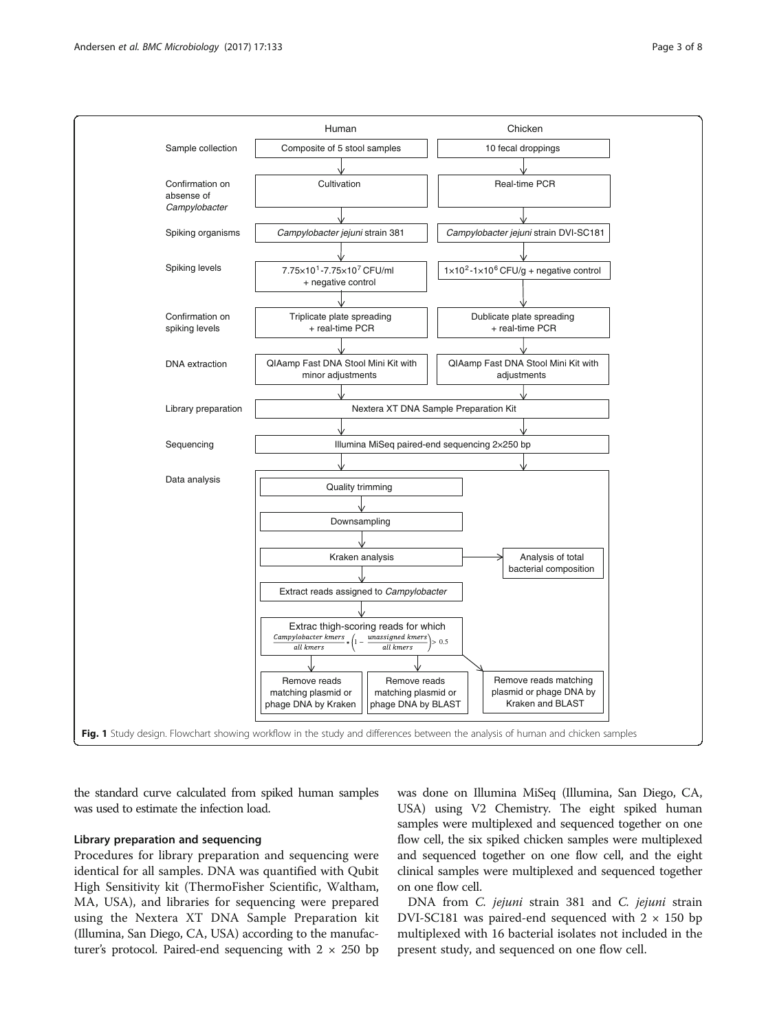<span id="page-2-0"></span>

the standard curve calculated from spiked human samples was used to estimate the infection load.

# Library preparation and sequencing

Procedures for library preparation and sequencing were identical for all samples. DNA was quantified with Qubit High Sensitivity kit (ThermoFisher Scientific, Waltham, MA, USA), and libraries for sequencing were prepared using the Nextera XT DNA Sample Preparation kit (Illumina, San Diego, CA, USA) according to the manufacturer's protocol. Paired-end sequencing with  $2 \times 250$  bp was done on Illumina MiSeq (Illumina, San Diego, CA, USA) using V2 Chemistry. The eight spiked human samples were multiplexed and sequenced together on one flow cell, the six spiked chicken samples were multiplexed and sequenced together on one flow cell, and the eight clinical samples were multiplexed and sequenced together on one flow cell.

DNA from C. jejuni strain 381 and C. jejuni strain DVI-SC181 was paired-end sequenced with  $2 \times 150$  bp multiplexed with 16 bacterial isolates not included in the present study, and sequenced on one flow cell.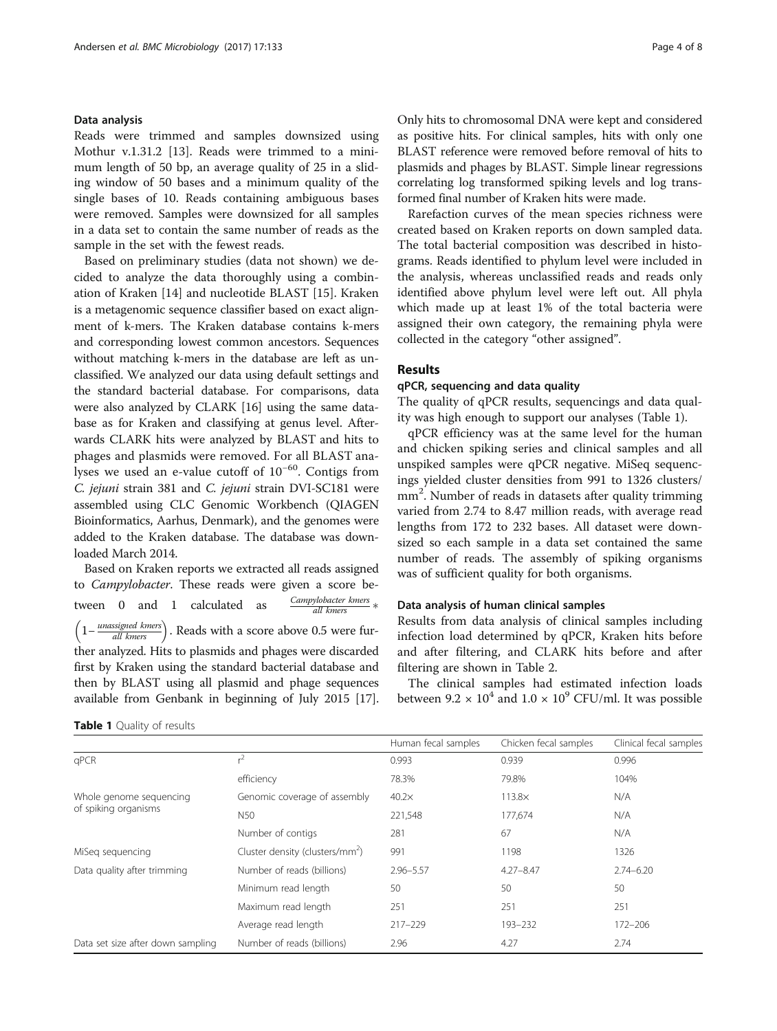# Data analysis

Reads were trimmed and samples downsized using Mothur v.1.31.2 [\[13](#page-7-0)]. Reads were trimmed to a minimum length of 50 bp, an average quality of 25 in a sliding window of 50 bases and a minimum quality of the single bases of 10. Reads containing ambiguous bases were removed. Samples were downsized for all samples in a data set to contain the same number of reads as the sample in the set with the fewest reads.

Based on preliminary studies (data not shown) we decided to analyze the data thoroughly using a combination of Kraken [[14\]](#page-7-0) and nucleotide BLAST [\[15\]](#page-7-0). Kraken is a metagenomic sequence classifier based on exact alignment of k-mers. The Kraken database contains k-mers and corresponding lowest common ancestors. Sequences without matching k-mers in the database are left as unclassified. We analyzed our data using default settings and the standard bacterial database. For comparisons, data were also analyzed by CLARK [\[16\]](#page-7-0) using the same database as for Kraken and classifying at genus level. Afterwards CLARK hits were analyzed by BLAST and hits to phages and plasmids were removed. For all BLAST analyses we used an e-value cutoff of 10<sup>−</sup>60. Contigs from C. jejuni strain 381 and C. jejuni strain DVI-SC181 were assembled using CLC Genomic Workbench (QIAGEN Bioinformatics, Aarhus, Denmark), and the genomes were added to the Kraken database. The database was downloaded March 2014.

Based on Kraken reports we extracted all reads assigned to Campylobacter. These reads were given a score between 0 and 1 calculated as  $\frac{Campylobacter \, kmers}{all \, kusers}$ all kmers  $\left(1-\frac{unassigned \ kmers}{all \ kmers}\right)$ . Reads with a score above 0.5 were further analyzed. Hits to plasmids and phages were discarded first by Kraken using the standard bacterial database and then by BLAST using all plasmid and phage sequences available from Genbank in beginning of July 2015 [[17](#page-7-0)].

Table 1 Quality of results

Only hits to chromosomal DNA were kept and considered as positive hits. For clinical samples, hits with only one BLAST reference were removed before removal of hits to plasmids and phages by BLAST. Simple linear regressions correlating log transformed spiking levels and log transformed final number of Kraken hits were made.

Rarefaction curves of the mean species richness were created based on Kraken reports on down sampled data. The total bacterial composition was described in histograms. Reads identified to phylum level were included in the analysis, whereas unclassified reads and reads only identified above phylum level were left out. All phyla which made up at least 1% of the total bacteria were assigned their own category, the remaining phyla were collected in the category "other assigned".

# Results

# qPCR, sequencing and data quality

The quality of qPCR results, sequencings and data quality was high enough to support our analyses (Table 1).

qPCR efficiency was at the same level for the human and chicken spiking series and clinical samples and all unspiked samples were qPCR negative. MiSeq sequencings yielded cluster densities from 991 to 1326 clusters/ mm<sup>2</sup>. Number of reads in datasets after quality trimming varied from 2.74 to 8.47 million reads, with average read lengths from 172 to 232 bases. All dataset were downsized so each sample in a data set contained the same number of reads. The assembly of spiking organisms was of sufficient quality for both organisms.

# Data analysis of human clinical samples

Results from data analysis of clinical samples including infection load determined by qPCR, Kraken hits before and after filtering, and CLARK hits before and after filtering are shown in Table [2](#page-4-0).

The clinical samples had estimated infection loads between  $9.2 \times 10^4$  and  $1.0 \times 10^9$  CFU/ml. It was possible

|                                                 |                                             | Human fecal samples | Chicken fecal samples | Clinical fecal samples |
|-------------------------------------------------|---------------------------------------------|---------------------|-----------------------|------------------------|
| qPCR                                            | $^{2}$                                      | 0.993               | 0.939                 | 0.996                  |
|                                                 | efficiency                                  | 78.3%               | 79.8%                 | 104%                   |
| Whole genome sequencing<br>of spiking organisms | Genomic coverage of assembly                | $40.2\times$        | $113.8\times$         | N/A                    |
|                                                 | N50                                         | 221,548             | 177,674               | N/A                    |
|                                                 | Number of contigs                           | 281                 | 67                    | N/A                    |
| MiSeg sequencing                                | Cluster density (clusters/mm <sup>2</sup> ) | 991                 | 1198                  | 1326                   |
| Data quality after trimming                     | Number of reads (billions)                  | $2.96 - 5.57$       | $4.27 - 8.47$         | $2.74 - 6.20$          |
|                                                 | Minimum read length                         | 50                  | 50                    | 50                     |
|                                                 | Maximum read length                         | 251                 | 251                   | 251                    |
|                                                 | Average read length                         | $217 - 229$         | 193-232               | 172-206                |
| Data set size after down sampling               | Number of reads (billions)                  | 2.96                | 4.27                  | 2.74                   |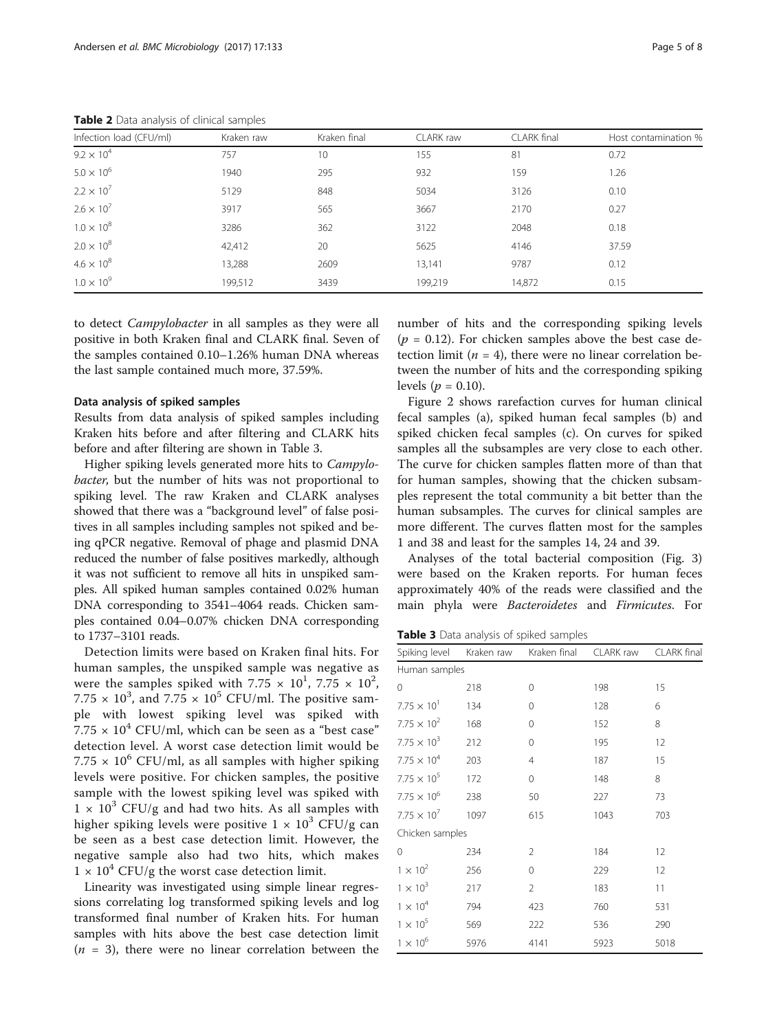<span id="page-4-0"></span>

| Infection load (CFU/ml) | Kraken raw | Kraken final | CLARK raw | CLARK final | Host contamination % |
|-------------------------|------------|--------------|-----------|-------------|----------------------|
| $9.2 \times 10^{4}$     | 757        | 10           | 155       | 81          | 0.72                 |
| $5.0 \times 10^{6}$     | 1940       | 295          | 932       | 159         | 1.26                 |
| $2.2 \times 10^{7}$     | 5129       | 848          | 5034      | 3126        | 0.10                 |
| $2.6 \times 10^{7}$     | 3917       | 565          | 3667      | 2170        | 0.27                 |
| $1.0 \times 10^{8}$     | 3286       | 362          | 3122      | 2048        | 0.18                 |
| $2.0 \times 10^{8}$     | 42,412     | 20           | 5625      | 4146        | 37.59                |
| $4.6 \times 10^{8}$     | 13,288     | 2609         | 13,141    | 9787        | 0.12                 |
| $1.0 \times 10^{9}$     | 199,512    | 3439         | 199,219   | 14.872      | 0.15                 |

to detect Campylobacter in all samples as they were all positive in both Kraken final and CLARK final. Seven of the samples contained 0.10–1.26% human DNA whereas the last sample contained much more, 37.59%.

# Data analysis of spiked samples

Results from data analysis of spiked samples including Kraken hits before and after filtering and CLARK hits before and after filtering are shown in Table 3.

Higher spiking levels generated more hits to Campylobacter, but the number of hits was not proportional to spiking level. The raw Kraken and CLARK analyses showed that there was a "background level" of false positives in all samples including samples not spiked and being qPCR negative. Removal of phage and plasmid DNA reduced the number of false positives markedly, although it was not sufficient to remove all hits in unspiked samples. All spiked human samples contained 0.02% human DNA corresponding to 3541–4064 reads. Chicken samples contained 0.04–0.07% chicken DNA corresponding to 1737–3101 reads.

Detection limits were based on Kraken final hits. For human samples, the unspiked sample was negative as were the samples spiked with 7.75  $\times$   $10^1$ , 7.75  $\times$   $10^2$ ,  $7.75 \times 10^3$ , and  $7.75 \times 10^5$  CFU/ml. The positive sample with lowest spiking level was spiked with  $7.75 \times 10^4$  CFU/ml, which can be seen as a "best case" detection level. A worst case detection limit would be 7.75  $\times$  10<sup>6</sup> CFU/ml, as all samples with higher spiking levels were positive. For chicken samples, the positive sample with the lowest spiking level was spiked with  $1 \times 10^3$  CFU/g and had two hits. As all samples with higher spiking levels were positive  $1 \times 10^3$  CFU/g can be seen as a best case detection limit. However, the negative sample also had two hits, which makes  $1 \times 10^4$  CFU/g the worst case detection limit.

Linearity was investigated using simple linear regressions correlating log transformed spiking levels and log transformed final number of Kraken hits. For human samples with hits above the best case detection limit  $(n = 3)$ , there were no linear correlation between the

number of hits and the corresponding spiking levels  $(p = 0.12)$ . For chicken samples above the best case detection limit ( $n = 4$ ), there were no linear correlation between the number of hits and the corresponding spiking levels ( $p = 0.10$ ).

Figure [2](#page-5-0) shows rarefaction curves for human clinical fecal samples (a), spiked human fecal samples (b) and spiked chicken fecal samples (c). On curves for spiked samples all the subsamples are very close to each other. The curve for chicken samples flatten more of than that for human samples, showing that the chicken subsamples represent the total community a bit better than the human subsamples. The curves for clinical samples are more different. The curves flatten most for the samples 1 and 38 and least for the samples 14, 24 and 39.

Analyses of the total bacterial composition (Fig. [3](#page-6-0)) were based on the Kraken reports. For human feces approximately 40% of the reads were classified and the main phyla were Bacteroidetes and Firmicutes. For

Table 3 Data analysis of spiked samples

| Spiking level Kraken raw |      | Kraken final   | CLARK raw | CLARK final |  |  |
|--------------------------|------|----------------|-----------|-------------|--|--|
| Human samples            |      |                |           |             |  |  |
| 0                        | 218  | 0              | 198       | 15          |  |  |
| $7.75 \times 10^{1}$     | 134  | 0              | 128       | 6           |  |  |
| $7.75 \times 10^{2}$     | 168  | 0              | 152       | 8           |  |  |
| $7.75 \times 10^{3}$     | 212  | 0              | 195       | 12          |  |  |
| $7.75 \times 10^4$       | 203  | 4              | 187       | 15          |  |  |
| $7.75 \times 10^{5}$     | 172  | 0              | 148       | 8           |  |  |
| $7.75 \times 10^{6}$     | 238  | 50             | 227       | 73          |  |  |
| $7.75 \times 10^{7}$     | 1097 | 615            | 1043      | 703         |  |  |
| Chicken samples          |      |                |           |             |  |  |
| $\mathbf 0$              | 234  | $\overline{2}$ | 184       | 12          |  |  |
| $1 \times 10^{2}$        | 256  | $\Omega$       | 229       | 12          |  |  |
| $1 \times 10^3$          | 217  | $\overline{2}$ | 183       | 11          |  |  |
| $1 \times 10^4$          | 794  | 423            | 760       | 531         |  |  |
| $1 \times 10^5$          | 569  | 222            | 536       | 290         |  |  |
| $1 \times 10^6$          | 5976 | 4141           | 5923      | 5018        |  |  |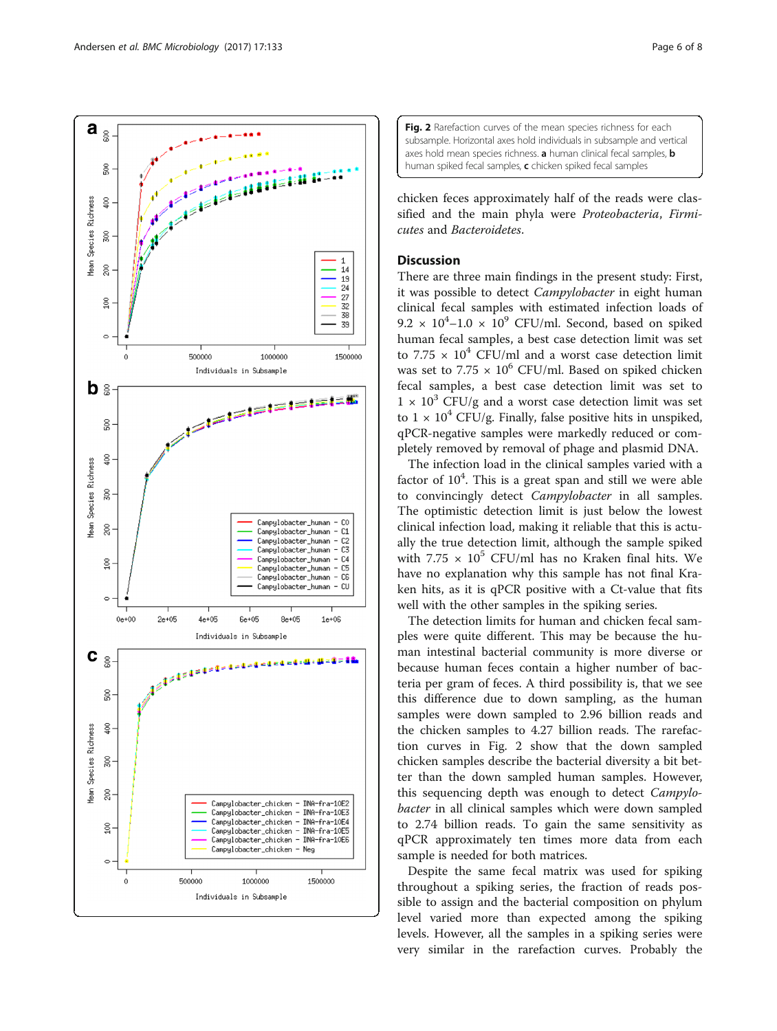<span id="page-5-0"></span>

Fig. 2 Rarefaction curves of the mean species richness for each subsample. Horizontal axes hold individuals in subsample and vertical axes hold mean species richness. a human clinical fecal samples, **b** human spiked fecal samples, c chicken spiked fecal samples

chicken feces approximately half of the reads were classified and the main phyla were Proteobacteria, Firmicutes and Bacteroidetes.

# **Discussion**

There are three main findings in the present study: First, it was possible to detect Campylobacter in eight human clinical fecal samples with estimated infection loads of  $9.2 \times 10^4$ -1.0 ×  $10^9$  CFU/ml. Second, based on spiked human fecal samples, a best case detection limit was set to 7.75  $\times$  10<sup>4</sup> CFU/ml and a worst case detection limit was set to  $7.75 \times 10^6$  CFU/ml. Based on spiked chicken fecal samples, a best case detection limit was set to  $1 \times 10^3$  CFU/g and a worst case detection limit was set to  $1 \times 10^4$  CFU/g. Finally, false positive hits in unspiked, qPCR-negative samples were markedly reduced or completely removed by removal of phage and plasmid DNA.

The infection load in the clinical samples varied with a factor of  $10<sup>4</sup>$ . This is a great span and still we were able to convincingly detect Campylobacter in all samples. The optimistic detection limit is just below the lowest clinical infection load, making it reliable that this is actually the true detection limit, although the sample spiked with 7.75  $\times$  10<sup>5</sup> CFU/ml has no Kraken final hits. We have no explanation why this sample has not final Kraken hits, as it is qPCR positive with a Ct-value that fits well with the other samples in the spiking series.

The detection limits for human and chicken fecal samples were quite different. This may be because the human intestinal bacterial community is more diverse or because human feces contain a higher number of bacteria per gram of feces. A third possibility is, that we see this difference due to down sampling, as the human samples were down sampled to 2.96 billion reads and the chicken samples to 4.27 billion reads. The rarefaction curves in Fig. 2 show that the down sampled chicken samples describe the bacterial diversity a bit better than the down sampled human samples. However, this sequencing depth was enough to detect Campylobacter in all clinical samples which were down sampled to 2.74 billion reads. To gain the same sensitivity as qPCR approximately ten times more data from each sample is needed for both matrices.

Despite the same fecal matrix was used for spiking throughout a spiking series, the fraction of reads possible to assign and the bacterial composition on phylum level varied more than expected among the spiking levels. However, all the samples in a spiking series were very similar in the rarefaction curves. Probably the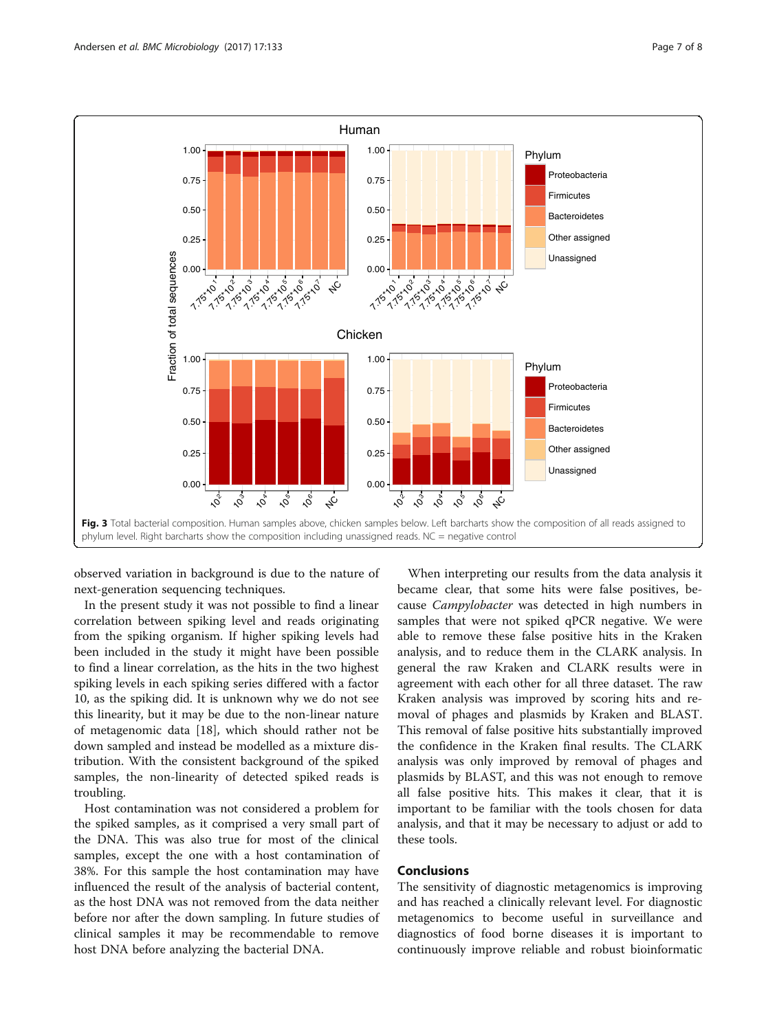<span id="page-6-0"></span>

observed variation in background is due to the nature of next-generation sequencing techniques.

In the present study it was not possible to find a linear correlation between spiking level and reads originating from the spiking organism. If higher spiking levels had been included in the study it might have been possible to find a linear correlation, as the hits in the two highest spiking levels in each spiking series differed with a factor 10, as the spiking did. It is unknown why we do not see this linearity, but it may be due to the non-linear nature of metagenomic data [\[18](#page-7-0)], which should rather not be down sampled and instead be modelled as a mixture distribution. With the consistent background of the spiked samples, the non-linearity of detected spiked reads is troubling.

Host contamination was not considered a problem for the spiked samples, as it comprised a very small part of the DNA. This was also true for most of the clinical samples, except the one with a host contamination of 38%. For this sample the host contamination may have influenced the result of the analysis of bacterial content, as the host DNA was not removed from the data neither before nor after the down sampling. In future studies of clinical samples it may be recommendable to remove host DNA before analyzing the bacterial DNA.

When interpreting our results from the data analysis it became clear, that some hits were false positives, because Campylobacter was detected in high numbers in samples that were not spiked qPCR negative. We were able to remove these false positive hits in the Kraken analysis, and to reduce them in the CLARK analysis. In general the raw Kraken and CLARK results were in agreement with each other for all three dataset. The raw Kraken analysis was improved by scoring hits and removal of phages and plasmids by Kraken and BLAST. This removal of false positive hits substantially improved the confidence in the Kraken final results. The CLARK analysis was only improved by removal of phages and plasmids by BLAST, and this was not enough to remove all false positive hits. This makes it clear, that it is important to be familiar with the tools chosen for data analysis, and that it may be necessary to adjust or add to these tools.

# Conclusions

The sensitivity of diagnostic metagenomics is improving and has reached a clinically relevant level. For diagnostic metagenomics to become useful in surveillance and diagnostics of food borne diseases it is important to continuously improve reliable and robust bioinformatic